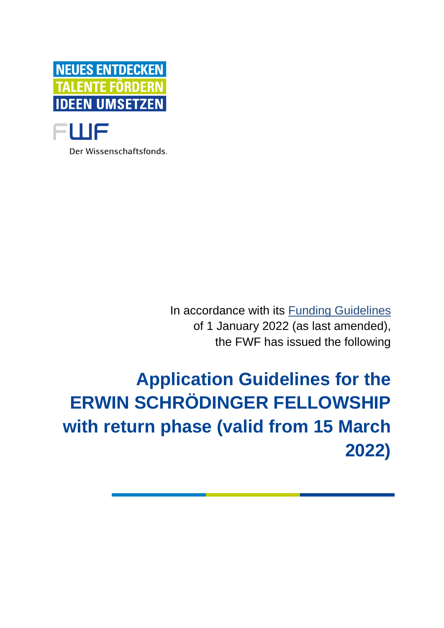

Der Wissenschaftsfonds.

In accordance with its [Funding Guidelines](https://www.fwf.ac.at/en/research-funding/decision-making-procedure-evaluation/funding-guidelines/) of 1 January 2022 (as last amended), the FWF has issued the following

**Application Guidelines for the ERWIN SCHRÖDINGER FELLOWSHIP with return phase (valid from 15 March 2022)**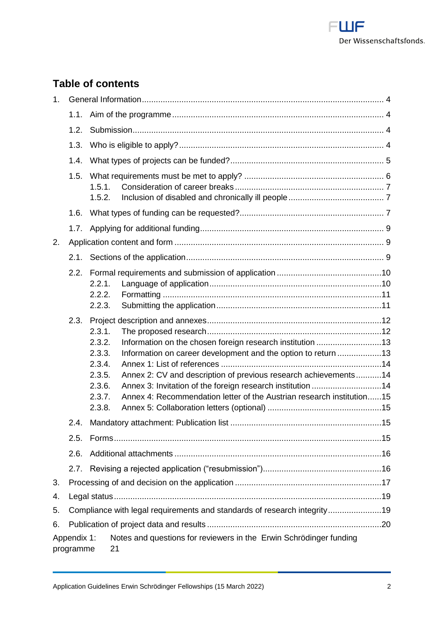

# **Table of contents**

| 1 <sub>1</sub>           |                                                                          |                                                                              |                                                                                                                                                                                                                                                                                                                                      |  |  |  |
|--------------------------|--------------------------------------------------------------------------|------------------------------------------------------------------------------|--------------------------------------------------------------------------------------------------------------------------------------------------------------------------------------------------------------------------------------------------------------------------------------------------------------------------------------|--|--|--|
|                          | 1.1.                                                                     |                                                                              |                                                                                                                                                                                                                                                                                                                                      |  |  |  |
|                          | 1.2.                                                                     |                                                                              |                                                                                                                                                                                                                                                                                                                                      |  |  |  |
|                          | 1.3.                                                                     |                                                                              |                                                                                                                                                                                                                                                                                                                                      |  |  |  |
|                          | 1.4.                                                                     |                                                                              |                                                                                                                                                                                                                                                                                                                                      |  |  |  |
|                          | 1.5.                                                                     | 1.5.1.<br>1.5.2.                                                             |                                                                                                                                                                                                                                                                                                                                      |  |  |  |
|                          | 1.6.                                                                     |                                                                              |                                                                                                                                                                                                                                                                                                                                      |  |  |  |
|                          | 1.7.                                                                     |                                                                              |                                                                                                                                                                                                                                                                                                                                      |  |  |  |
| 2.                       |                                                                          |                                                                              |                                                                                                                                                                                                                                                                                                                                      |  |  |  |
|                          | 2.1.                                                                     |                                                                              |                                                                                                                                                                                                                                                                                                                                      |  |  |  |
|                          | 2.2.                                                                     | 2.2.1.<br>2.2.2.<br>2.2.3.                                                   |                                                                                                                                                                                                                                                                                                                                      |  |  |  |
|                          | 2.3.                                                                     | 2.3.1.<br>2.3.2.<br>2.3.3.<br>2.3.4.<br>2.3.5.<br>2.3.6.<br>2.3.7.<br>2.3.8. | Information on the chosen foreign research institution 13<br>Information on career development and the option to return 13<br>Annex 2: CV and description of previous research achievements14<br>Annex 3: Invitation of the foreign research institution 14<br>Annex 4: Recommendation letter of the Austrian research institution15 |  |  |  |
|                          | 2.4.                                                                     |                                                                              |                                                                                                                                                                                                                                                                                                                                      |  |  |  |
|                          | 2.5.                                                                     |                                                                              |                                                                                                                                                                                                                                                                                                                                      |  |  |  |
|                          | 2.6.                                                                     |                                                                              |                                                                                                                                                                                                                                                                                                                                      |  |  |  |
|                          | 2.7.                                                                     |                                                                              |                                                                                                                                                                                                                                                                                                                                      |  |  |  |
| 3.                       |                                                                          |                                                                              |                                                                                                                                                                                                                                                                                                                                      |  |  |  |
| 4.                       |                                                                          |                                                                              |                                                                                                                                                                                                                                                                                                                                      |  |  |  |
| 5.                       | Compliance with legal requirements and standards of research integrity19 |                                                                              |                                                                                                                                                                                                                                                                                                                                      |  |  |  |
| 6.                       |                                                                          |                                                                              |                                                                                                                                                                                                                                                                                                                                      |  |  |  |
| Appendix 1:<br>programme |                                                                          |                                                                              | Notes and questions for reviewers in the Erwin Schrödinger funding<br>21                                                                                                                                                                                                                                                             |  |  |  |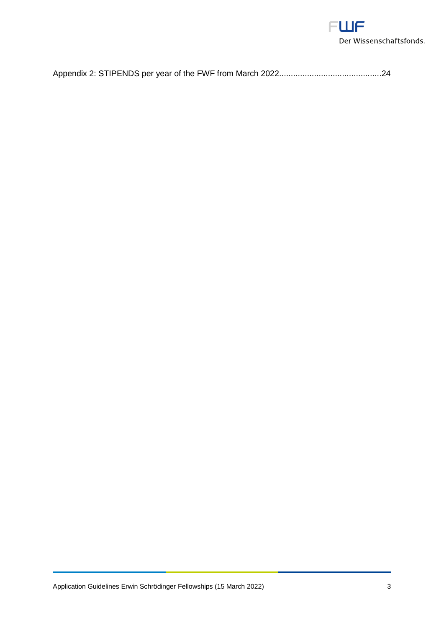

|--|--|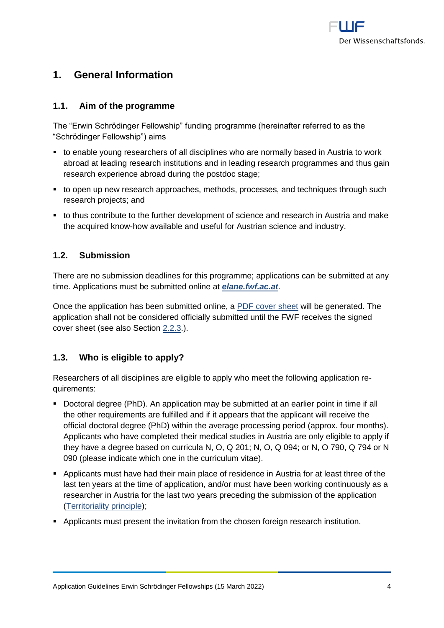

# <span id="page-3-0"></span>**1. General Information**

# <span id="page-3-1"></span>**1.1. Aim of the programme**

The "Erwin Schrödinger Fellowship" funding programme (hereinafter referred to as the "Schrödinger Fellowship") aims

- to enable young researchers of all disciplines who are normally based in Austria to work abroad at leading research institutions and in leading research programmes and thus gain research experience abroad during the postdoc stage;
- to open up new research approaches, methods, processes, and techniques through such research projects; and
- to thus contribute to the further development of science and research in Austria and make the acquired know-how available and useful for Austrian science and industry.

# <span id="page-3-2"></span>**1.2. Submission**

There are no submission deadlines for this programme; applications can be submitted at any time. Applications must be submitted online at *[elane.fwf.ac.at](https://elane.fwf.ac.at/)*.

Once the application has been submitted online, a [PDF cover sheet](https://www.fwf.ac.at/fileadmin/files/Dokumente/Antragstellung/glossary_application-guidelines.pdf) will be generated. The application shall not be considered officially submitted until the FWF receives the signed cover sheet (see also Section [2.2.3.](#page-10-1)).

# <span id="page-3-3"></span>**1.3. Who is eligible to apply?**

Researchers of all disciplines are eligible to apply who meet the following application requirements:

- Doctoral degree (PhD). An application may be submitted at an earlier point in time if all the other requirements are fulfilled and if it appears that the applicant will receive the official doctoral degree (PhD) within the average processing period (approx. four months). Applicants who have completed their medical studies in Austria are only eligible to apply if they have a degree based on curricula N, O, Q 201; N, O, Q 094; or N, O 790, Q 794 or N 090 (please indicate which one in the curriculum vitae).
- **EXE** Applicants must have had their main place of residence in Austria for at least three of the last ten years at the time of application, and/or must have been working continuously as a researcher in Austria for the last two years preceding the submission of the application [\(Territoriality principle\)](https://www.fwf.ac.at/fileadmin/files/Dokumente/Antragstellung/glossary_application-guidelines.pdf);
- Applicants must present the invitation from the chosen foreign research institution.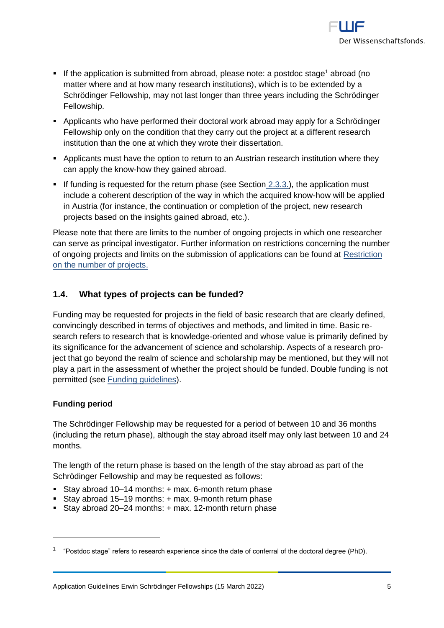

- **.** If the application is submitted from abroad, please note: a postdoc stage<sup>1</sup> abroad (no matter where and at how many research institutions), which is to be extended by a Schrödinger Fellowship, may not last longer than three years including the Schrödinger Fellowship.
- Applicants who have performed their doctoral work abroad may apply for a Schrödinger Fellowship only on the condition that they carry out the project at a different research institution than the one at which they wrote their dissertation.
- Applicants must have the option to return to an Austrian research institution where they can apply the know-how they gained abroad.
- **•** If funding is requested for the return phase (see [Section](#page-12-1) 2.3.3.), the application must include a coherent description of the way in which the acquired know-how will be applied in Austria (for instance, the continuation or completion of the project, new research projects based on the insights gained abroad, etc.).

Please note that there are limits to the number of ongoing projects in which one researcher can serve as principal investigator. Further information on restrictions concerning the number of ongoing projects and limits on the submission of applications can be found at [Restriction](https://www.fwf.ac.at/fileadmin/files/Dokumente/Antragstellung/project_number_limit.pdf)  [on the number of projects.](https://www.fwf.ac.at/fileadmin/files/Dokumente/Antragstellung/project_number_limit.pdf)

# <span id="page-4-0"></span>**1.4. What types of projects can be funded?**

Funding may be requested for projects in the field of basic research that are clearly defined, convincingly described in terms of objectives and methods, and limited in time. Basic research refers to research that is knowledge-oriented and whose value is primarily defined by its significance for the advancement of science and scholarship. Aspects of a research project that go beyond the realm of science and scholarship may be mentioned, but they will not play a part in the assessment of whether the project should be funded. Double funding is not permitted (see [Funding guidelines\)](https://www.fwf.ac.at/en/research-funding/decision-making-procedure-evaluation/funding-guidelines/).

## **Funding period**

 $\overline{a}$ 

The Schrödinger Fellowship may be requested for a period of between 10 and 36 months (including the return phase), although the stay abroad itself may only last between 10 and 24 months.

The length of the return phase is based on the length of the stay abroad as part of the Schrödinger Fellowship and may be requested as follows:

- Stay abroad 10–14 months: + max. 6-month return phase
- Stay abroad 15–19 months: + max. 9-month return phase
- Stay abroad 20–24 months: + max. 12-month return phase

<sup>1</sup> "Postdoc stage" refers to research experience since the date of conferral of the doctoral degree (PhD).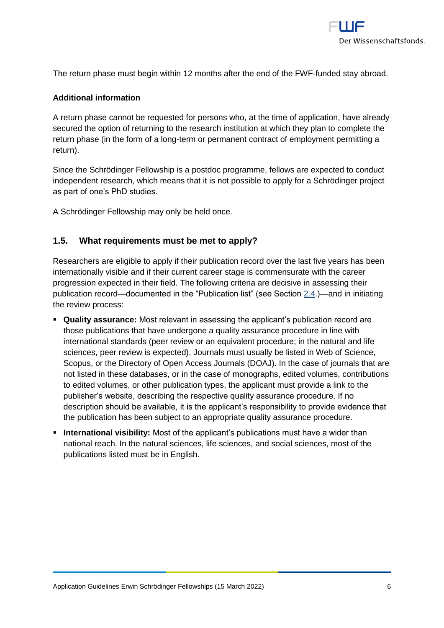

The return phase must begin within 12 months after the end of the FWF-funded stay abroad.

### **Additional information**

A return phase cannot be requested for persons who, at the time of application, have already secured the option of returning to the research institution at which they plan to complete the return phase (in the form of a long-term or permanent contract of employment permitting a return).

Since the Schrödinger Fellowship is a postdoc programme, fellows are expected to conduct independent research, which means that it is not possible to apply for a Schrödinger project as part of one's PhD studies.

<span id="page-5-0"></span>A Schrödinger Fellowship may only be held once.

# **1.5. What requirements must be met to apply?**

Researchers are eligible to apply if their publication record over the last five years has been internationally visible and if their current career stage is commensurate with the career progression expected in their field. The following criteria are decisive in assessing their publication record—documented in the "Publication list" (see Section [2.4.](#page-14-2))—and in initiating the review process:

- **Quality assurance:** Most relevant in assessing the applicant's publication record are those publications that have undergone a quality assurance procedure in line with international standards (peer review or an equivalent procedure; in the natural and life sciences, peer review is expected). Journals must usually be listed in Web of Science, Scopus, or the Directory of Open Access Journals (DOAJ). In the case of journals that are not listed in these databases, or in the case of monographs, edited volumes, contributions to edited volumes, or other publication types, the applicant must provide a link to the publisher's website, describing the respective quality assurance procedure. If no description should be available, it is the applicant's responsibility to provide evidence that the publication has been subject to an appropriate quality assurance procedure.
- **. International visibility:** Most of the applicant's publications must have a wider than national reach. In the natural sciences, life sciences, and social sciences, most of the publications listed must be in English.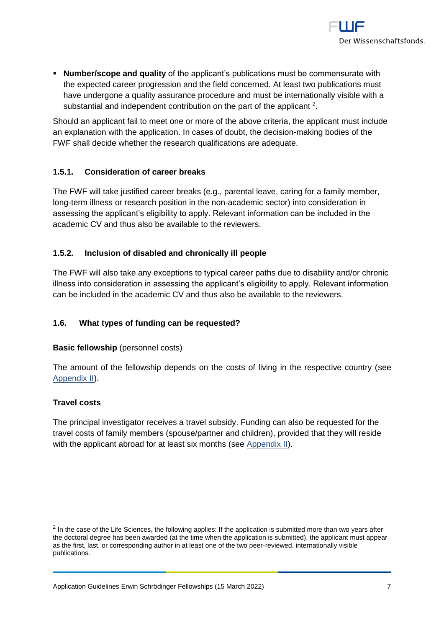

▪ **Number/scope and quality** of the applicant's publications must be commensurate with the expected career progression and the field concerned. At least two publications must have undergone a quality assurance procedure and must be internationally visible with a substantial and independent contribution on the part of the applicant  $2$ .

Should an applicant fail to meet one or more of the above criteria, the applicant must include an explanation with the application. In cases of doubt, the decision-making bodies of the FWF shall decide whether the research qualifications are adequate.

# <span id="page-6-0"></span>**1.5.1. Consideration of career breaks**

The FWF will take justified career breaks (e.g., parental leave, caring for a family member, long-term illness or research position in the non-academic sector) into consideration in assessing the applicant's eligibility to apply. Relevant information can be included in the academic CV and thus also be available to the reviewers.

# <span id="page-6-1"></span>**1.5.2. Inclusion of disabled and chronically ill people**

The FWF will also take any exceptions to typical career paths due to disability and/or chronic illness into consideration in assessing the applicant's eligibility to apply. Relevant information can be included in the academic CV and thus also be available to the reviewers.

# <span id="page-6-2"></span>**1.6. What types of funding can be requested?**

## **Basic fellowship** (personnel costs)

The amount of the fellowship depends on the costs of living in the respective country (see [Appendix II\)](#page-23-0).

## **Travel costs**

 $\overline{a}$ 

The principal investigator receives a travel subsidy. Funding can also be requested for the travel costs of family members (spouse/partner and children), provided that they will reside with the applicant abroad for at least six months (see [Appendix II\)](#page-23-0).

 $2$  In the case of the Life Sciences, the following applies: If the application is submitted more than two years after the doctoral degree has been awarded (at the time when the application is submitted), the applicant must appear as the first, last, or corresponding author in at least one of the two peer-reviewed, internationally visible publications.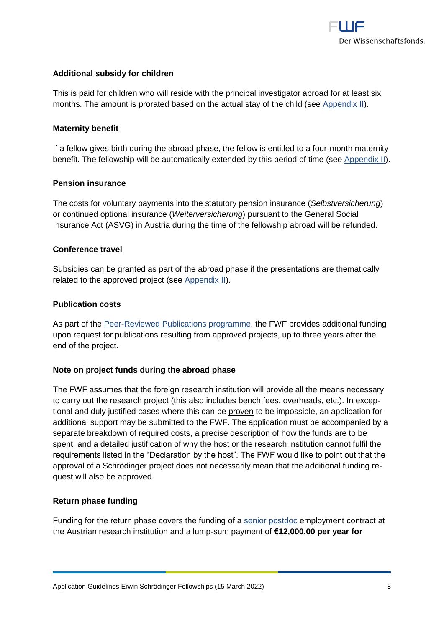

# **Additional subsidy for children**

This is paid for children who will reside with the principal investigator abroad for at least six months. The amount is prorated based on the actual stay of the child (see [Appendix II\)](#page-23-0).

#### **Maternity benefit**

If a fellow gives birth during the abroad phase, the fellow is entitled to a four-month maternity benefit. The fellowship will be automatically extended by this period of time (see [Appendix II\)](#page-23-0).

# **Pension insurance**

The costs for voluntary payments into the statutory pension insurance (*Selbstversicherung*) or continued optional insurance (*Weiterversicherung*) pursuant to the General Social Insurance Act (ASVG) in Austria during the time of the fellowship abroad will be refunded.

#### **Conference travel**

Subsidies can be granted as part of the abroad phase if the presentations are thematically related to the approved project (see [Appendix II\)](#page-23-0).

#### **Publication costs**

As part of the [Peer-Reviewed Publications programme,](https://www.fwf.ac.at/en/research-funding/fwf-programmes/peer-reviewed-publications/) the FWF provides additional funding upon request for publications resulting from approved projects, up to three years after the end of the project.

#### **Note on project funds during the abroad phase**

The FWF assumes that the foreign research institution will provide all the means necessary to carry out the research project (this also includes bench fees, overheads, etc.). In exceptional and duly justified cases where this can be proven to be impossible, an application for additional support may be submitted to the FWF. The application must be accompanied by a separate breakdown of required costs, a precise description of how the funds are to be spent, and a detailed justification of why the host or the research institution cannot fulfil the requirements listed in the "Declaration by the host". The FWF would like to point out that the approval of a Schrödinger project does not necessarily mean that the additional funding request will also be approved.

#### **Return phase funding**

Funding for the return phase covers the funding of a [senior postdoc](https://www.fwf.ac.at/en/research-funding/personnel-costs/) employment contract at the Austrian research institution and a lump-sum payment of **€12,000.00 per year for**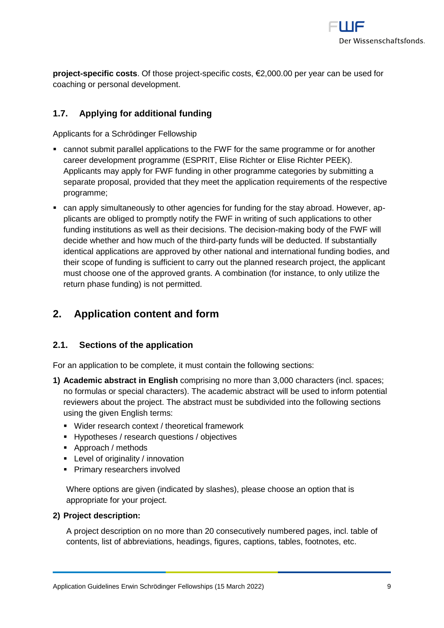

**project-specific costs**. Of those project-specific costs, €2,000.00 per year can be used for coaching or personal development.

# <span id="page-8-0"></span>**1.7. Applying for additional funding**

Applicants for a Schrödinger Fellowship

- cannot submit parallel applications to the FWF for the same programme or for another career development programme (ESPRIT, Elise Richter or Elise Richter PEEK). Applicants may apply for FWF funding in other programme categories by submitting a separate proposal, provided that they meet the application requirements of the respective programme;
- can apply simultaneously to other agencies for funding for the stay abroad. However, applicants are obliged to promptly notify the FWF in writing of such applications to other funding institutions as well as their decisions. The decision-making body of the FWF will decide whether and how much of the third-party funds will be deducted. If substantially identical applications are approved by other national and international funding bodies, and their scope of funding is sufficient to carry out the planned research project, the applicant must choose one of the approved grants. A combination (for instance, to only utilize the return phase funding) is not permitted.

# <span id="page-8-1"></span>**2. Application content and form**

# <span id="page-8-2"></span>**2.1. Sections of the application**

For an application to be complete, it must contain the following sections:

- **1) Academic abstract in English** comprising no more than 3,000 characters (incl. spaces; no formulas or special characters). The academic abstract will be used to inform potential reviewers about the project. The abstract must be subdivided into the following sections using the given English terms:
	- Wider research context / theoretical framework
	- Hypotheses / research questions / objectives
	- Approach / methods
	- Level of originality / innovation
	- **Primary researchers involved**

Where options are given (indicated by slashes), please choose an option that is appropriate for your project.

#### **2) Project description:**

A project description on no more than 20 consecutively numbered pages, incl. table of contents, list of abbreviations, headings, figures, captions, tables, footnotes, etc.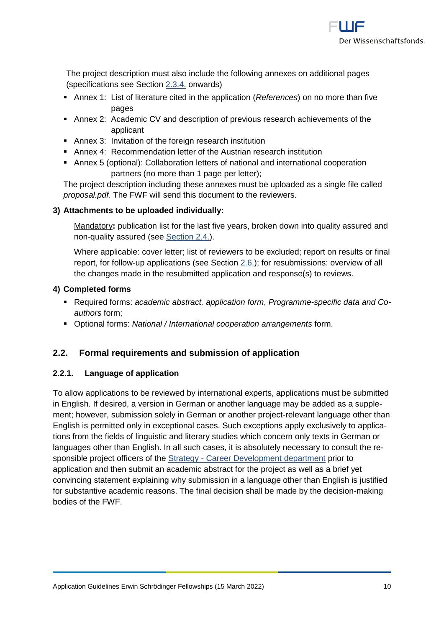

The project description must also include the following annexes on additional pages (specifications see Section [2.3.4.](#page-13-0) onwards)

- Annex 1: List of literature cited in the application (*References*) on no more than five pages
- Annex 2: Academic CV and description of previous research achievements of the applicant
- Annex 3: Invitation of the foreign research institution
- Annex 4: Recommendation letter of the Austrian research institution
- Annex 5 (optional): Collaboration letters of national and international cooperation partners (no more than 1 page per letter);

The project description including these annexes must be uploaded as a single file called *proposal.pdf*. The FWF will send this document to the reviewers.

## **3) Attachments to be uploaded individually:**

Mandatory**:** publication list for the last five years, broken down into quality assured and non-quality assured (see [Section 2.4.\)](#page-14-2).

Where applicable: cover letter; list of reviewers to be excluded; report on results or final report, for follow-up applications (see [Section](#page-15-0) 2.6.); for resubmissions: overview of all the changes made in the resubmitted application and response(s) to reviews.

## **4) Completed forms**

- Required forms: *academic abstract, application form*, *Programme-specific data and Coauthors* form;
- <span id="page-9-0"></span>▪ Optional forms: *National / International cooperation arrangements* form.

## **2.2. Formal requirements and submission of application**

## <span id="page-9-1"></span>**2.2.1. Language of application**

To allow applications to be reviewed by international experts, applications must be submitted in English. If desired, a version in German or another language may be added as a supplement; however, submission solely in German or another project-relevant language other than English is permitted only in exceptional cases. Such exceptions apply exclusively to applications from the fields of linguistic and literary studies which concern only texts in German or languages other than English. In all such cases, it is absolutely necessary to consult the responsible project officers of the Strategy - [Career Development department](https://www.fwf.ac.at/en/about-the-fwf/organisation/fwf-team/specialist-departments/strategy-career-development/) prior to application and then submit an academic abstract for the project as well as a brief yet convincing statement explaining why submission in a language other than English is justified for substantive academic reasons. The final decision shall be made by the decision-making bodies of the FWF.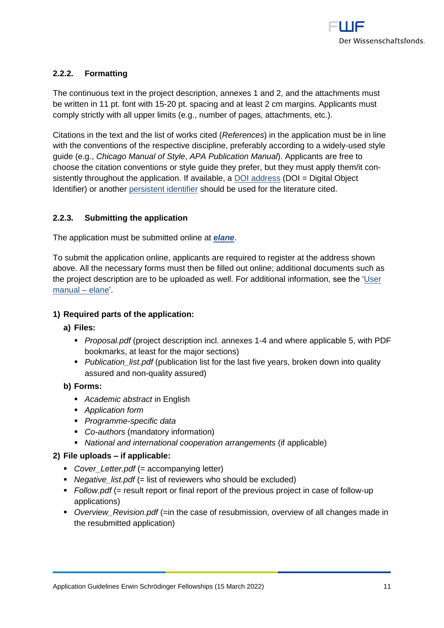

# <span id="page-10-0"></span>**2.2.2. Formatting**

The continuous text in the project description, annexes 1 and 2, and the attachments must be written in 11 pt. font with 15-20 pt. spacing and at least 2 cm margins. Applicants must comply strictly with all upper limits (e.g., number of pages, attachments, etc.).

Citations in the text and the list of works cited (*References*) in the application must be in line with the conventions of the respective discipline, preferably according to a widely-used style guide (e.g., *Chicago Manual of Style*, *APA Publication Manual*). Applicants are free to choose the citation conventions or style guide they prefer, but they must apply them/it consistently throughout the application. If available, a [DOI address](http://www.doi.org/) (DOI = Digital Object Identifier) or another [persistent identifier](https://en.wikipedia.org/wiki/Persistent_identifier) should be used for the literature cited.

# <span id="page-10-1"></span>**2.2.3. Submitting the application**

The application must be submitted online at *[elane](https://elane.fwf.ac.at/)*.

To submit the application online, applicants are required to register at the address shown above. All the necessary forms must then be filled out online; additional documents such as the project description are to be uploaded as well. For additional information, see the ['User](https://elane.fwf.ac.at/wicket/resource/org.apache.wicket.Application/QuickReference_en-ver-BEBE0AE980D9E3AAD9C10DE9C2B99684.pdf)  [manual –](https://elane.fwf.ac.at/wicket/resource/org.apache.wicket.Application/QuickReference_en-ver-BEBE0AE980D9E3AAD9C10DE9C2B99684.pdf) elane'.

# **1) Required parts of the application:**

- **a) Files:**
	- *Proposal.pdf* (project description incl. annexes 1-4 and where applicable 5, with PDF bookmarks, at least for the major sections)
	- *Publication\_list.pdf* (publication list for the last five years, broken down into quality assured and non-quality assured)

## **b) Forms:**

- *Academic abstract* in English
- *Application form*
- *Programme-specific data*
- *Co-authors* (mandatory information)
- *National and international cooperation arrangements* (if applicable)

## **2) File uploads – if applicable:**

- *Cover Letter.pdf* (= accompanying letter)
- *Negative list.pdf* (= list of reviewers who should be excluded)
- *Follow.pdf* (= result report or final report of the previous project in case of follow-up applications)
- *Overview Revision.pdf* (=in the case of resubmission, overview of all changes made in the resubmitted application)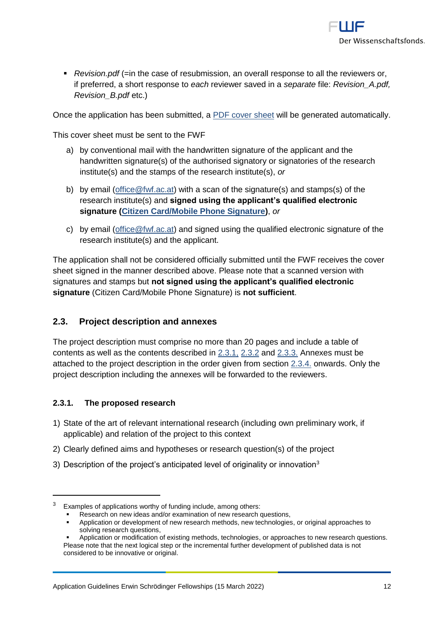

■ *Revision.pdf* (=in the case of resubmission, an overall response to all the reviewers or, if preferred, a short response to *each* reviewer saved in a *separate* file: *Revision\_A.pdf, Revision\_B.pdf* etc.)

Once the application has been submitted, a [PDF cover sheet](https://www.fwf.ac.at/fileadmin/files/Dokumente/Antragstellung/glossary_application-guidelines.pdf) will be generated automatically.

This cover sheet must be sent to the FWF

- a) by conventional mail with the handwritten signature of the applicant and the handwritten signature(s) of the authorised signatory or signatories of the research institute(s) and the stamps of the research institute(s), *or*
- b) by email (office  $@fwt.ac.at$ ) with a scan of the signature(s) and stamps(s) of the research institute(s) and **signed using the applicant's qualified electronic signature [\(Citizen Card/Mobile Phone Signature\)](https://www.buergerkarte.at/en/)**, *or*
- c) by email (office  $@fwt.ac.at$ ) and signed using the qualified electronic signature of the research institute(s) and the applicant.

The application shall not be considered officially submitted until the FWF receives the cover sheet signed in the manner described above. Please note that a scanned version with signatures and stamps but **not signed using the applicant's qualified electronic signature** (Citizen Card/Mobile Phone Signature) is **not sufficient**.

# <span id="page-11-0"></span>**2.3. Project description and annexes**

<span id="page-11-2"></span>The project description must comprise no more than 20 pages and include a table of contents as well as the contents described in [2.3.1,](#page-11-1) [2.3.2](#page-12-0) and [2.3.3.](#page-12-1) Annexes must be attached to the project description in the order given from section [2.3.4.](#page-13-0) onwards. Only the project description including the annexes will be forwarded to the reviewers.

## <span id="page-11-1"></span>**2.3.1. The proposed research**

- 1) State of the art of relevant international research (including own preliminary work, if applicable) and relation of the project to this context
- 2) Clearly defined aims and hypotheses or research question(s) of the project
- 3) Description of the project's anticipated level of originality or innovation<sup>3</sup>

Application or development of new research methods, new technologies, or original approaches to solving research questions.

 $3$  Examples of applications worthy of funding include, among others:

Research on new ideas and/or examination of new research questions,

Application or modification of existing methods, technologies, or approaches to new research questions. Please note that the next logical step or the incremental further development of published data is not considered to be innovative or original.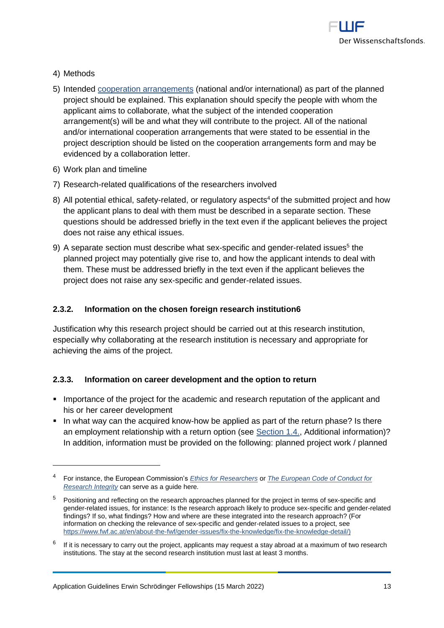

4) Methods

 $\overline{a}$ 

- 5) Intended [cooperation arrangements](https://www.fwf.ac.at/fileadmin/files/Dokumente/Antragstellung/glossary_application-guidelines.pdf) (national and/or international) as part of the planned project should be explained. This explanation should specify the people with whom the applicant aims to collaborate, what the subject of the intended cooperation arrangement(s) will be and what they will contribute to the project. All of the national and/or international cooperation arrangements that were stated to be essential in the project description should be listed on the cooperation arrangements form and may be evidenced by a collaboration letter.
- 6) Work plan and timeline
- 7) Research-related qualifications of the researchers involved
- 8) All potential ethical, safety-related, or regulatory aspects<sup>4</sup> of the submitted project and how the applicant plans to deal with them must be described in a separate section. These questions should be addressed briefly in the text even if the applicant believes the project does not raise any ethical issues.
- 9) A separate section must describe what sex-specific and gender-related issues<sup>5</sup> the planned project may potentially give rise to, and how the applicant intends to deal with them. These must be addressed briefly in the text even if the applicant believes the project does not raise any sex-specific and gender-related issues.

#### <span id="page-12-0"></span>**2.3.2. Information on the chosen foreign research institution6**

Justification why this research project should be carried out at this research institution, especially why collaborating at the research institution is necessary and appropriate for achieving the aims of the project.

#### <span id="page-12-1"></span>**2.3.3. Information on career development and the option to return**

- Importance of the project for the academic and research reputation of the applicant and his or her career development
- In what way can the acquired know-how be applied as part of the return phase? Is there an employment relationship with a return option (see [Section](#page-6-2) 1.4., Additional information)? In addition, information must be provided on the following: planned project work / planned

<sup>4</sup> For instance, the European Commission's *[Ethics for Researchers](http://ec.europa.eu/research/participants/data/ref/fp7/89888/ethics-for-researchers_en.pdf)* or *[The European Code of Conduct for](https://ec.europa.eu/info/funding-tenders/opportunities/docs/2021-2027/horizon/guidance/european-code-of-conduct-for-research-integrity_horizon_en.pdf)  [Research Integrity](https://ec.europa.eu/info/funding-tenders/opportunities/docs/2021-2027/horizon/guidance/european-code-of-conduct-for-research-integrity_horizon_en.pdf)* can serve as a guide here*.*

<sup>&</sup>lt;sup>5</sup> Positioning and reflecting on the research approaches planned for the project in terms of sex-specific and gender-related issues, for instance: Is the research approach likely to produce sex-specific and gender-related findings? If so, what findings? How and where are these integrated into the research approach? (For information on checking the relevance of sex-specific and gender-related issues to a project, see [https://www.fwf.ac.at/en/about-the-fwf/gender-issues/fix-the-knowledge/fix-the-knowledge-detail/\)](https://www.fwf.ac.at/en/about-the-fwf/gender-issues/fix-the-knowledge/fix-the-knowledge-detail/)

<sup>6</sup> If it is necessary to carry out the project, applicants may request a stay abroad at a maximum of two research institutions. The stay at the second research institution must last at least 3 months.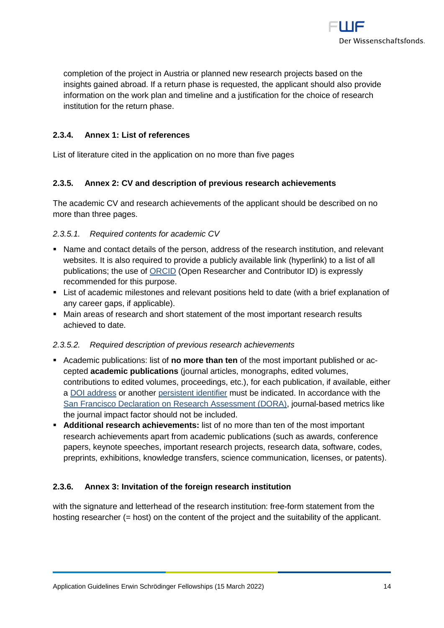

completion of the project in Austria or planned new research projects based on the insights gained abroad. If a return phase is requested, the applicant should also provide information on the work plan and timeline and a justification for the choice of research institution for the return phase.

# <span id="page-13-0"></span>**2.3.4. Annex 1: List of references**

<span id="page-13-1"></span>List of literature cited in the application on no more than five pages

# **2.3.5. Annex 2: CV and description of previous research achievements**

The academic CV and research achievements of the applicant should be described on no more than three pages.

#### *2.3.5.1. Required contents for academic CV*

- Name and contact details of the person, address of the research institution, and relevant websites. It is also required to provide a publicly available link (hyperlink) to a list of all publications; the use of [ORCID](https://orcid.org/) (Open Researcher and Contributor ID) is expressly recommended for this purpose.
- List of academic milestones and relevant positions held to date (with a brief explanation of any career gaps, if applicable).
- Main areas of research and short statement of the most important research results achieved to date.

## *2.3.5.2. Required description of previous research achievements*

- Academic publications: list of **no more than ten** of the most important published or accepted **academic publications** (journal articles, monographs, edited volumes, contributions to edited volumes, proceedings, etc.), for each publication, if available, either a [DOI address](http://www.doi.org/) or another [persistent identifier](http://en.wikipedia.org/wiki/Persistent_identifier) must be indicated. In accordance with the [San Francisco Declaration on Research Assessment \(DORA\),](https://sfdora.org/) journal-based metrics like the journal impact factor should not be included.
- **Additional research achievements:** list of no more than ten of the most important research achievements apart from academic publications (such as awards, conference papers, keynote speeches, important research projects, research data, software, codes, preprints, exhibitions, knowledge transfers, science communication, licenses, or patents).

## <span id="page-13-2"></span>**2.3.6. Annex 3: Invitation of the foreign research institution**

with the signature and letterhead of the research institution: free-form statement from the hosting researcher (= host) on the content of the project and the suitability of the applicant.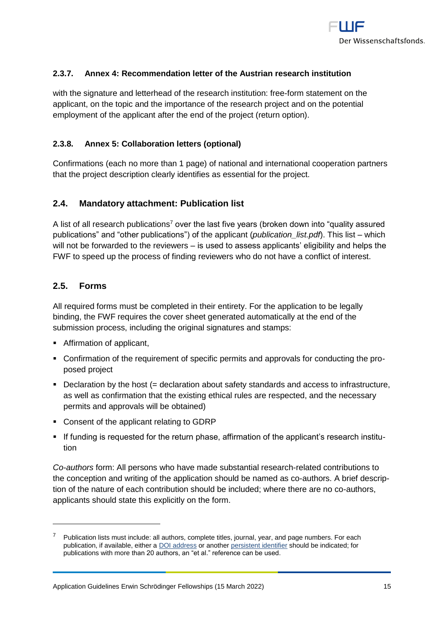

# <span id="page-14-0"></span>**2.3.7. Annex 4: Recommendation letter of the Austrian research institution**

with the signature and letterhead of the research institution: free-form statement on the applicant, on the topic and the importance of the research project and on the potential employment of the applicant after the end of the project (return option).

### <span id="page-14-1"></span>**2.3.8. Annex 5: Collaboration letters (optional)**

Confirmations (each no more than 1 page) of national and international cooperation partners that the project description clearly identifies as essential for the project.

## <span id="page-14-2"></span>**2.4. Mandatory attachment: Publication list**

A list of all research publications<sup>7</sup> over the last five years (broken down into "quality assured publications" and "other publications") of the applicant (*publication\_list.pdf*). This list – which will not be forwarded to the reviewers – is used to assess applicants' eligibility and helps the FWF to speed up the process of finding reviewers who do not have a conflict of interest.

### <span id="page-14-3"></span>**2.5. Forms**

 $\overline{a}$ 

All required forms must be completed in their entirety. For the application to be legally binding, the FWF requires the cover sheet generated automatically at the end of the submission process, including the original signatures and stamps:

- Affirmation of applicant,
- Confirmation of the requirement of specific permits and approvals for conducting the proposed project
- Declaration by the host (= declaration about safety standards and access to infrastructure, as well as confirmation that the existing ethical rules are respected, and the necessary permits and approvals will be obtained)
- Consent of the applicant relating to GDRP
- **■** If funding is requested for the return phase, affirmation of the applicant's research institution

*Co-authors* form: All persons who have made substantial research-related contributions to the conception and writing of the application should be named as co-authors. A brief description of the nature of each contribution should be included; where there are no co-authors, applicants should state this explicitly on the form.

Publication lists must include: all authors, complete titles, journal, year, and page numbers. For each publication, if available, either a [DOI address](http://www.doi.org/) or anothe[r persistent identifier](http://en.wikipedia.org/wiki/Persistent_identifier) should be indicated; for publications with more than 20 authors, an "et al." reference can be used.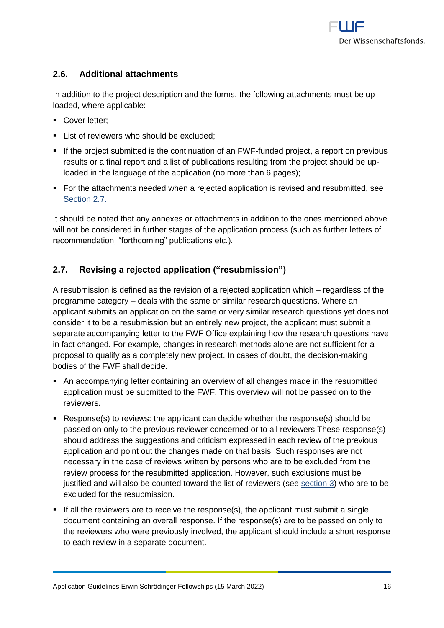

# <span id="page-15-0"></span>**2.6. Additional attachments**

In addition to the project description and the forms, the following attachments must be uploaded, where applicable:

- Cover letter:
- **EXECUTE:** List of reviewers who should be excluded:
- **EXT** If the project submitted is the continuation of an FWF-funded project, a report on previous results or a final report and a list of publications resulting from the project should be uploaded in the language of the application (no more than 6 pages);
- For the attachments needed when a rejected application is revised and resubmitted, see [Section 2.7.;](#page-15-2)

<span id="page-15-2"></span>It should be noted that any annexes or attachments in addition to the ones mentioned above will not be considered in further stages of the application process (such as further letters of recommendation, "forthcoming" publications etc.).

# <span id="page-15-1"></span>**2.7. Revising a rejected application ("resubmission")**

A resubmission is defined as the revision of a rejected application which – regardless of the programme category – deals with the same or similar research questions. Where an applicant submits an application on the same or very similar research questions yet does not consider it to be a resubmission but an entirely new project, the applicant must submit a separate accompanying letter to the FWF Office explaining how the research questions have in fact changed. For example, changes in research methods alone are not sufficient for a proposal to qualify as a completely new project. In cases of doubt, the decision-making bodies of the FWF shall decide.

- An accompanying letter containing an overview of all changes made in the resubmitted application must be submitted to the FWF. This overview will not be passed on to the reviewers.
- Response(s) to reviews: the applicant can decide whether the response(s) should be passed on only to the previous reviewer concerned or to all reviewers These response(s) should address the suggestions and criticism expressed in each review of the previous application and point out the changes made on that basis. Such responses are not necessary in the case of reviews written by persons who are to be excluded from the review process for the resubmitted application. However, such exclusions must be justified and will also be counted toward the list of reviewers (see [section 3\)](#page-16-0) who are to be excluded for the resubmission.
- $\blacksquare$  If all the reviewers are to receive the response(s), the applicant must submit a single document containing an overall response. If the response(s) are to be passed on only to the reviewers who were previously involved, the applicant should include a short response to each review in a separate document.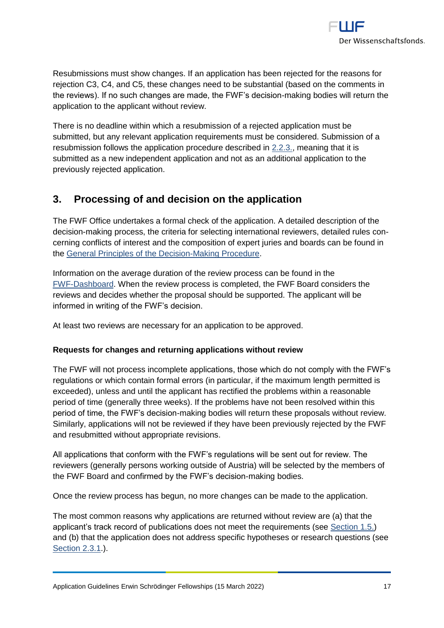

Resubmissions must show changes. If an application has been rejected for the reasons for rejection C3, C4, and C5, these changes need to be substantial (based on the comments in the reviews). If no such changes are made, the FWF's decision-making bodies will return the application to the applicant without review.

There is no deadline within which a resubmission of a rejected application must be submitted, but any relevant application requirements must be considered. Submission of a resubmission follows the application procedure described in [2.2.3.,](#page-10-1) meaning that it is submitted as a new independent application and not as an additional application to the previously rejected application.

# <span id="page-16-0"></span>**3. Processing of and decision on the application**

The FWF Office undertakes a formal check of the application. A detailed description of the decision-making process, the criteria for selecting international reviewers, detailed rules concerning conflicts of interest and the composition of expert juries and boards can be found in the [General Principles of the Decision-Making](https://www.fwf.ac.at/en/research-funding/decision-making-procedure-evaluation/decision-making-procedure/) Procedure.

Information on the average duration of the review process can be found in the [FWF-Dashboard.](http://dashboard.fwf.ac.at/en/) When the review process is completed, the FWF Board considers the reviews and decides whether the proposal should be supported. The applicant will be informed in writing of the FWF's decision.

At least two reviews are necessary for an application to be approved.

## **Requests for changes and returning applications without review**

The FWF will not process incomplete applications, those which do not comply with the FWF's regulations or which contain formal errors (in particular, if the maximum length permitted is exceeded), unless and until the applicant has rectified the problems within a reasonable period of time (generally three weeks). If the problems have not been resolved within this period of time, the FWF's decision-making bodies will return these proposals without review. Similarly, applications will not be reviewed if they have been previously rejected by the FWF and resubmitted without appropriate revisions.

All applications that conform with the FWF's regulations will be sent out for review. The reviewers (generally persons working outside of Austria) will be selected by the members of the FWF Board and confirmed by the FWF's decision-making bodies.

Once the review process has begun, no more changes can be made to the application.

The most common reasons why applications are returned without review are (a) that the applicant's track record of publications does not meet the requirements (see [Section 1.5.](#page-5-0)) and (b) that the application does not address specific hypotheses or research questions (see [Section 2.3.1.](#page-11-2)).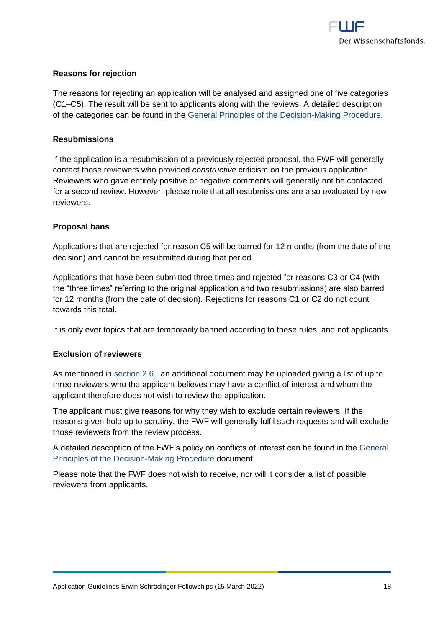

## **Reasons for rejection**

The reasons for rejecting an application will be analysed and assigned one of five categories (C1–C5). The result will be sent to applicants along with the reviews. A detailed description of the categories can be found in the [General Principles of the Decision-Making Procedure.](https://www.fwf.ac.at/en/research-funding/decision-making-procedure-evaluation/decision-making-procedure/)

#### **Resubmissions**

If the application is a resubmission of a previously rejected proposal, the FWF will generally contact those reviewers who provided *constructive* criticism on the previous application. Reviewers who gave entirely positive or negative comments will generally not be contacted for a second review. However, please note that all resubmissions are also evaluated by new reviewers.

#### **Proposal bans**

Applications that are rejected for reason C5 will be barred for 12 months (from the date of the decision) and cannot be resubmitted during that period.

Applications that have been submitted three times and rejected for reasons C3 or C4 (with the "three times" referring to the original application and two resubmissions) are also barred for 12 months (from the date of decision). Rejections for reasons C1 or C2 do not count towards this total.

It is only ever topics that are temporarily banned according to these rules, and not applicants.

#### **Exclusion of reviewers**

As mentioned in [section 2.6.,](#page-15-0) an additional document may be uploaded giving a list of up to three reviewers who the applicant believes may have a conflict of interest and whom the applicant therefore does not wish to review the application.

The applicant must give reasons for why they wish to exclude certain reviewers. If the reasons given hold up to scrutiny, the FWF will generally fulfil such requests and will exclude those reviewers from the review process.

A detailed description of the FWF's policy on conflicts of interest can be found in the [General](https://www.fwf.ac.at/en/research-funding/decision-making-procedure-evaluation/decision-making-procedure/)  [Principles of the Decision-Making Procedure](https://www.fwf.ac.at/en/research-funding/decision-making-procedure-evaluation/decision-making-procedure/) document.

Please note that the FWF does not wish to receive, nor will it consider a list of possible reviewers from applicants.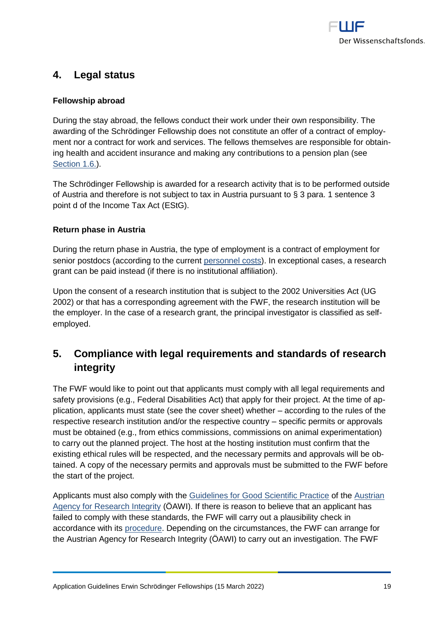

# <span id="page-18-0"></span>**4. Legal status**

# **Fellowship abroad**

During the stay abroad, the fellows conduct their work under their own responsibility. The awarding of the Schrödinger Fellowship does not constitute an offer of a contract of employment nor a contract for work and services. The fellows themselves are responsible for obtaining health and accident insurance and making any contributions to a pension plan (see [Section 1.6.\)](#page-6-2).

The Schrödinger Fellowship is awarded for a research activity that is to be performed outside of Austria and therefore is not subject to tax in Austria pursuant to § 3 para. 1 sentence 3 point d of the Income Tax Act (EStG).

## **Return phase in Austria**

During the return phase in Austria, the type of employment is a contract of employment for senior postdocs (according to the current [personnel costs\)](https://www.fwf.ac.at/en/research-funding/personnel-costs/). In exceptional cases, a research grant can be paid instead (if there is no institutional affiliation).

Upon the consent of a research institution that is subject to the 2002 Universities Act (UG 2002) or that has a corresponding agreement with the FWF, the research institution will be the employer. In the case of a research grant, the principal investigator is classified as selfemployed.

# <span id="page-18-1"></span>**5. Compliance with legal requirements and standards of research integrity**

The FWF would like to point out that applicants must comply with all legal requirements and safety provisions (e.g., Federal Disabilities Act) that apply for their project. At the time of application, applicants must state (see the cover sheet) whether – according to the rules of the respective research institution and/or the respective country – specific permits or approvals must be obtained (e.g., from ethics commissions, commissions on animal experimentation) to carry out the planned project. The host at the hosting institution must confirm that the existing ethical rules will be respected, and the necessary permits and approvals will be obtained. A copy of the necessary permits and approvals must be submitted to the FWF before the start of the project.

Applicants must also comply with the [Guidelines for Good Scientific Practice](https://oeawi.at/en/guidelines/) of the [Austrian](https://oeawi.at/en/)  [Agency for Research Integrity](https://oeawi.at/en/) (ÖAWI). If there is reason to believe that an applicant has failed to comply with these standards, the FWF will carry out a plausibility check in accordance with its [procedure.](https://www.fwf.ac.at/fileadmin/files/Dokumente/Research_Integrity_Ethics/FWF_Verfahren_Research_Misconduct-en.pdf) Depending on the circumstances, the FWF can arrange for the Austrian Agency for Research Integrity (ÖAWI) to carry out an investigation. The FWF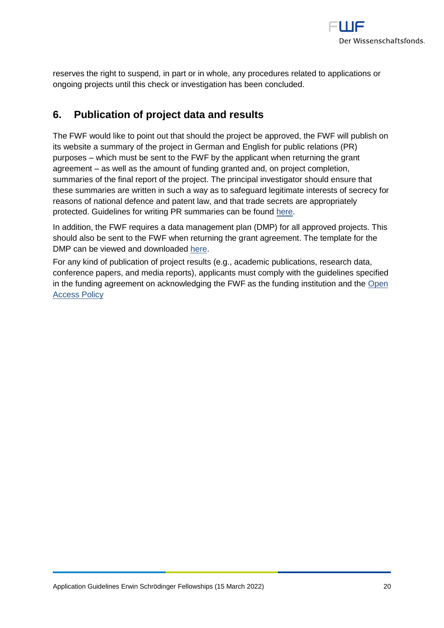

reserves the right to suspend, in part or in whole, any procedures related to applications or ongoing projects until this check or investigation has been concluded.

# <span id="page-19-0"></span>**6. Publication of project data and results**

The FWF would like to point out that should the project be approved, the FWF will publish on its website a summary of the project in German and English for public relations (PR) purposes – which must be sent to the FWF by the applicant when returning the grant agreement – as well as the amount of funding granted and, on project completion, summaries of the final report of the project. The principal investigator should ensure that these summaries are written in such a way as to safeguard legitimate interests of secrecy for reasons of national defence and patent law, and that trade secrets are appropriately protected. Guidelines for writing PR summaries can be found [here.](https://www.fwf.ac.at/fileadmin/files/Dokumente/Antragstellung/vorgaben_pr-kurzfassungen.pdf)

In addition, the FWF requires a data management plan (DMP) for all approved projects. This should also be sent to the FWF when returning the grant agreement. The template for the DMP can be viewed and downloaded [here.](https://www.fwf.ac.at/en/research-funding/open-access-policy/research-data-management/)

For any kind of publication of project results (e.g., academic publications, research data, conference papers, and media reports), applicants must comply with the guidelines specified in the funding agreement on acknowledging the FWF as the funding institution and the [Open](https://www.fwf.ac.at/en/research-funding/open-access-policy/)  [Access Policy](https://www.fwf.ac.at/en/research-funding/open-access-policy/)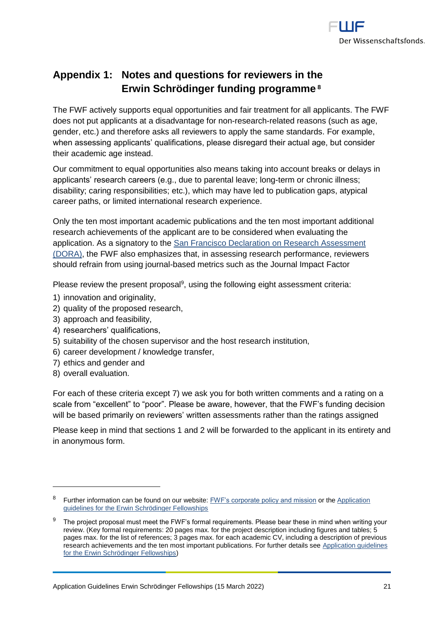

# <span id="page-20-0"></span>**Appendix 1: Notes and questions for reviewers in the Erwin Schrödinger funding programme <sup>8</sup>**

The FWF actively supports equal opportunities and fair treatment for all applicants. The FWF does not put applicants at a disadvantage for non-research-related reasons (such as age, gender, etc.) and therefore asks all reviewers to apply the same standards. For example, when assessing applicants' qualifications, please disregard their actual age, but consider their academic age instead.

Our commitment to equal opportunities also means taking into account breaks or delays in applicants' research careers (e.g., due to parental leave; long-term or chronic illness; disability; caring responsibilities; etc.), which may have led to publication gaps, atypical career paths, or limited international research experience.

Only the ten most important academic publications and the ten most important additional research achievements of the applicant are to be considered when evaluating the application. As a signatory to the [San Francisco Declaration on Research Assessment](https://sfdora.org/read/)  [\(DORA\),](https://sfdora.org/read/) the FWF also emphasizes that, in assessing research performance, reviewers should refrain from using journal-based metrics such as the Journal Impact Factor

Please review the present proposal<sup>9</sup>, using the following eight assessment criteria:

- 1) innovation and originality,
- 2) quality of the proposed research,
- 3) approach and feasibility,
- 4) researchers' qualifications,
- 5) suitability of the chosen supervisor and the host research institution,
- 6) career development / knowledge transfer,
- 7) ethics and gender and
- 8) overall evaluation.

 $\overline{a}$ 

For each of these criteria except 7) we ask you for both written comments and a rating on a scale from "excellent" to "poor". Please be aware, however, that the FWF's funding decision will be based primarily on reviewers' written assessments rather than the ratings assigned

Please keep in mind that sections 1 and 2 will be forwarded to the applicant in its entirety and in anonymous form.

<sup>&</sup>lt;sup>8</sup> Further information can be found on our website: **FWF's corporate policy and mission** or the Application [guidelines for the Erwin Schrödinger Fellowships](https://www.fwf.ac.at/en/research-funding/fwf-programmes/schroedinger-programme/)

The project proposal must meet the FWF's formal requirements. Please bear these in mind when writing your review. (Key formal requirements: 20 pages max. for the project description including figures and tables; 5 pages max. for the list of references; 3 pages max. for each academic CV, including a description of previous research achievements and the ten most important publications. For further details see [Application guidelines](https://www.fwf.ac.at/en/research-funding/fwf-programmes/schroedinger-programme/)  [for the Erwin Schrödinger Fellowships\)](https://www.fwf.ac.at/en/research-funding/fwf-programmes/schroedinger-programme/)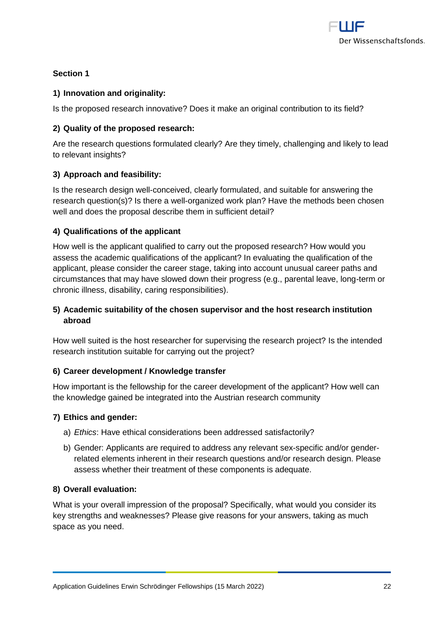

# **Section 1**

# **1) Innovation and originality:**

Is the proposed research innovative? Does it make an original contribution to its field?

# **2) Quality of the proposed research:**

Are the research questions formulated clearly? Are they timely, challenging and likely to lead to relevant insights?

# **3) Approach and feasibility:**

Is the research design well-conceived, clearly formulated, and suitable for answering the research question(s)? Is there a well-organized work plan? Have the methods been chosen well and does the proposal describe them in sufficient detail?

# **4) Qualifications of the applicant**

How well is the applicant qualified to carry out the proposed research? How would you assess the academic qualifications of the applicant? In evaluating the qualification of the applicant, please consider the career stage, taking into account unusual career paths and circumstances that may have slowed down their progress (e.g., parental leave, long-term or chronic illness, disability, caring responsibilities).

# **5) Academic suitability of the chosen supervisor and the host research institution abroad**

How well suited is the host researcher for supervising the research project? Is the intended research institution suitable for carrying out the project?

## **6) Career development / Knowledge transfer**

How important is the fellowship for the career development of the applicant? How well can the knowledge gained be integrated into the Austrian research community

## **7) Ethics and gender:**

- a) *Ethics*: Have ethical considerations been addressed satisfactorily?
- b) Gender: Applicants are required to address any relevant sex-specific and/or genderrelated elements inherent in their research questions and/or research design. Please assess whether their treatment of these components is adequate.

## **8) Overall evaluation:**

What is your overall impression of the proposal? Specifically, what would you consider its key strengths and weaknesses? Please give reasons for your answers, taking as much space as you need.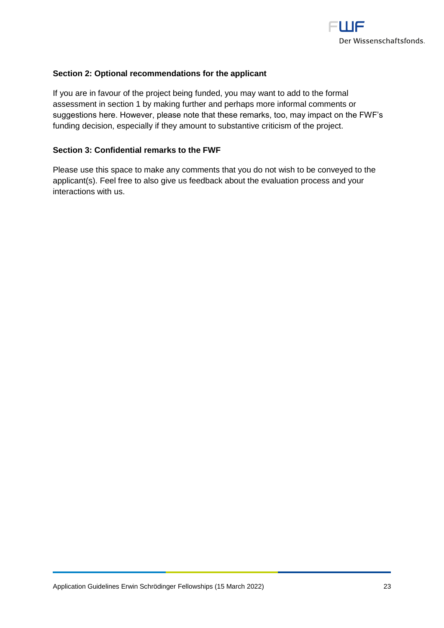

# **Section 2: Optional recommendations for the applicant**

If you are in favour of the project being funded, you may want to add to the formal assessment in section 1 by making further and perhaps more informal comments or suggestions here. However, please note that these remarks, too, may impact on the FWF's funding decision, especially if they amount to substantive criticism of the project.

### **Section 3: Confidential remarks to the FWF**

Please use this space to make any comments that you do not wish to be conveyed to the applicant(s). Feel free to also give us feedback about the evaluation process and your interactions with us.